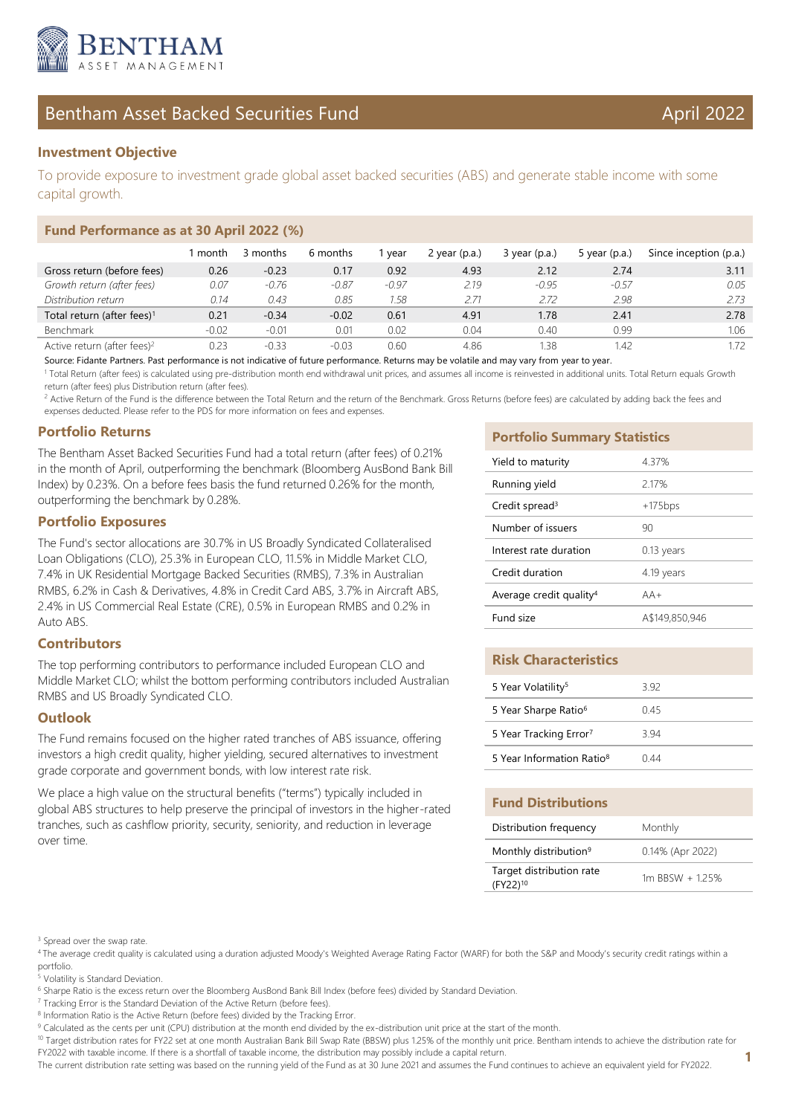

# Bentham Asset Backed Securities Fund April 2022

To provide exposure to investment grade global asset backed securities (ABS) and generate stable income with some capital growth.

## **Fund Performance as at 30 April 2022 (%)**

|                                         | month   | 3 months | 6 months | vear    | 2 year $(p.a.)$ | $3$ year (p.a.) | 5 year $(p.a.)$ | Since inception (p.a.) |
|-----------------------------------------|---------|----------|----------|---------|-----------------|-----------------|-----------------|------------------------|
| Gross return (before fees)              | 0.26    | $-0.23$  | 0.17     | 0.92    | 4.93            | 2.12            | 2.74            | 3.11                   |
| Growth return (after fees)              | 0.07    | $-0.76$  | $-0.87$  | $-0.97$ | 219             | $-0.95$         | $-0.57$         | 0.05                   |
| Distribution return                     | 0.14    | 0.43     | 0.85     | 1.58    | 2.71            | 2.72            | 2.98            | 2.73                   |
| Total return (after fees) <sup>1</sup>  | 0.21    | $-0.34$  | $-0.02$  | 0.61    | 4.91            | 1.78            | 2.41            | 2.78                   |
| <b>Benchmark</b>                        | $-0.02$ | $-0.01$  | 0.01     | 0.02    | 0.04            | 0.40            | 0.99            | 1.06                   |
| Active return (after fees) <sup>2</sup> | 0.23    | $-0.33$  | $-0.03$  | 0.60    | 4.86            | .38             | .42             |                        |

Source: Fidante Partners. Past performance is not indicative of future performance. Returns may be volatile and may vary from year to year.

<sup>1</sup> Total Return (after fees) is calculated using pre-distribution month end withdrawal unit prices, and assumes all income is reinvested in additional units. Total Return equals Growth return (after fees) plus Distribution return (after fees).

<sup>2</sup> Active Return of the Fund is the difference between the Total Return and the return of the Benchmark. Gross Returns (before fees) are calculated by adding back the fees and expenses deducted. Please refer to the PDS for more information on fees and expenses.

## **Portfolio Returns**

The Bentham Asset Backed Securities Fund had a total return (after fees) of 0.21% in the month of April, outperforming the benchmark (Bloomberg AusBond Bank Bill Index) by 0.23%. On a before fees basis the fund returned 0.26% for the month, outperforming the benchmark by 0.28%.

## **Portfolio Exposures**

The Fund's sector allocations are 30.7% in US Broadly Syndicated Collateralised Loan Obligations (CLO), 25.3% in European CLO, 11.5% in Middle Market CLO, 7.4% in UK Residential Mortgage Backed Securities (RMBS), 7.3% in Australian RMBS, 6.2% in Cash & Derivatives, 4.8% in Credit Card ABS, 3.7% in Aircraft ABS, 2.4% in US Commercial Real Estate (CRE), 0.5% in European RMBS and 0.2% in Auto ABS.

## **Contributors**

The top performing contributors to performance included European CLO and Middle Market CLO; whilst the bottom performing contributors included Australian RMBS and US Broadly Syndicated CLO.

## **Outlook**

The Fund remains focused on the higher rated tranches of ABS issuance, offering investors a high credit quality, higher yielding, secured alternatives to investment grade corporate and government bonds, with low interest rate risk.

We place a high value on the structural benefits ("terms") typically included in global ABS structures to help preserve the principal of investors in the higher-rated tranches, such as cashflow priority, security, seniority, and reduction in leverage over time.

### **Portfolio Summary Statistics**

| Yield to maturity                   | 4.37%          |
|-------------------------------------|----------------|
| Running yield                       | 2.17%          |
| Credit spread <sup>3</sup>          | $+175bps$      |
| Number of issuers                   | 90             |
| Interest rate duration              | $0.13$ years   |
| Credit duration                     | 4.19 years     |
| Average credit quality <sup>4</sup> | $AA+$          |
| Fund size                           | A\$149,850,946 |

## **Risk Characteristics**

| 5 Year Volatility <sup>5</sup>        | 392  |
|---------------------------------------|------|
| 5 Year Sharpe Ratio <sup>6</sup>      | 045  |
| 5 Year Tracking Error <sup>7</sup>    | 3 94 |
| 5 Year Information Ratio <sup>8</sup> | N 44 |

## **Fund Distributions**

| Distribution frequency                           | Monthly          |
|--------------------------------------------------|------------------|
| Monthly distribution <sup>9</sup>                | 0.14% (Apr 2022) |
| Target distribution rate<br>(FY22) <sup>10</sup> | 1m RBSW + 125%   |

<sup>4</sup>The average credit quality is calculated using a duration adjusted Moody's Weighted Average Rating Factor (WARF) for both the S&P and Moody's security credit ratings within a portfolio.

5 Volatility is Standard Deviation.

<sup>10</sup> Target distribution rates for FY22 set at one month Australian Bank Bill Swap Rate (BBSW) plus 1.25% of the monthly unit price. Bentham intends to achieve the distribution rate for FY2022 with taxable income. If there is a shortfall of taxable income, the distribution may possibly include a capital return.

The current distribution rate setting was based on the running yield of the Fund as at 30 June 2021 and assumes the Fund continues to achieve an equivalent yield for FY2022.

<sup>&</sup>lt;sup>3</sup> Spread over the swap rate.

<sup>&</sup>lt;sup>6</sup> Sharpe Ratio is the excess return over the Bloomberg AusBond Bank Bill Index (before fees) divided by Standard Deviation.

<sup>&</sup>lt;sup>7</sup> Tracking Error is the Standard Deviation of the Active Return (before fees).

<sup>&</sup>lt;sup>8</sup> Information Ratio is the Active Return (before fees) divided by the Tracking Error.

<sup>&</sup>lt;sup>9</sup> Calculated as the cents per unit (CPU) distribution at the month end divided by the ex-distribution unit price at the start of the month.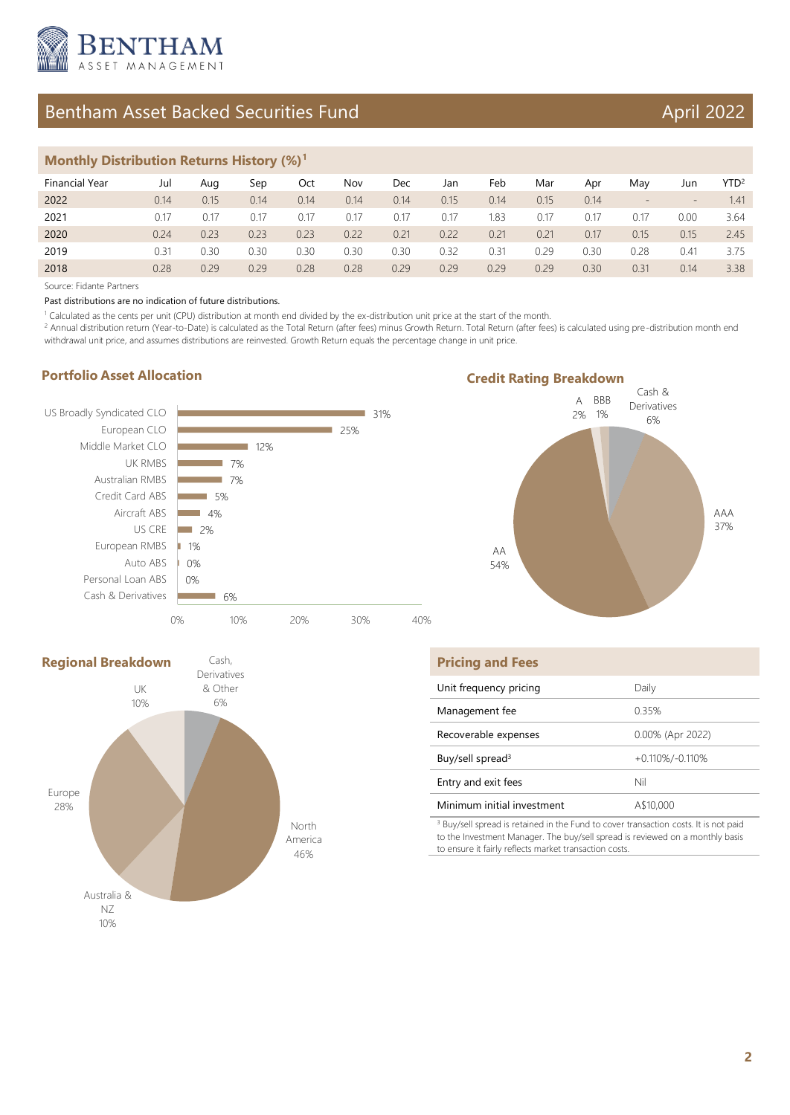

# Bentham Asset Backed Securities Fund April 2022

## **Monthly Distribution Returns History (%)<sup>1</sup>**

| Financial Year | Jul  | Aug  | Sep  | Oct  | Nov  | Dec  | Jan  | Feb  | Mar  | Apr  | Mav  | Jun  | YTD <sup>2</sup> |
|----------------|------|------|------|------|------|------|------|------|------|------|------|------|------------------|
| 2022           | 0.14 | 0.15 | 0.14 | 0.14 | 0.14 | 0.14 | 0.15 | 0.14 | 0.15 | 0.14 | $-$  | $-$  | 1.41             |
| 2021           | 0.17 | 0.17 | 0.17 | 0.17 | 0.17 | 0.17 | 0.17 | 1.83 | 0.17 | 0.17 | 0.17 | 0.00 | 3.64             |
| 2020           | 0.24 | 0.23 | 0.23 | 0.23 | 0.22 | 0.21 | 0.22 | 0.21 | 0.21 | 0.17 | 0.15 | 0.15 | 2.45             |
| 2019           | 0.31 | 0.30 | 0.30 | 0.30 | 0.30 | 0.30 | 0.32 | 0.31 | 0.29 | 0.30 | 0.28 | 0.41 | 3.75             |
| 2018           | 0.28 | 0.29 | 0.29 | 0.28 | 0.28 | 0.29 | 0.29 | 0.29 | 0.29 | 0.30 | 0.31 | 0.14 | 3.38             |

Source: Fidante Partners

Past distributions are no indication of future distributions.

1 Calculated as the cents per unit (CPU) distribution at month end divided by the ex-distribution unit price at the start of the month.

<sup>2</sup> Annual distribution return (Year-to-Date) is calculated as the Total Return (after fees) minus Growth Return. Total Return (after fees) is calculated using pre-distribution month end withdrawal unit price, and assumes distributions are reinvested. Growth Return equals the percentage change in unit price.

## **Portfolio Asset Allocation**







| <b>Pricing and Fees</b>      |                    |
|------------------------------|--------------------|
| Unit frequency pricing       | Daily              |
| Management fee               | 0.35%              |
| Recoverable expenses         | 0.00% (Apr 2022)   |
| Buy/sell spread <sup>3</sup> | $+0.110\%/0.110\%$ |
| Entry and exit fees          | Nil                |
| Minimum initial investment   | A\$10,000          |
|                              |                    |

<sup>3</sup> Buy/sell spread is retained in the Fund to cover transaction costs. It is not paid to the Investment Manager. The buy/sell spread is reviewed on a monthly basis to ensure it fairly reflects market transaction costs.